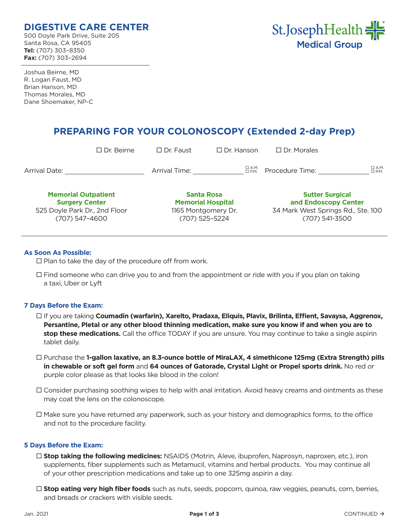# **DIGESTIVE CARE CENTER**

500 Doyle Park Drive, Suite 205 Santa Rosa, CA 95405 **Tel:** (707) 303–8350 **Fax:** (707) 303–2694



Joshua Beirne, MD R. Logan Faust, MD Brian Hanson, MD Thomas Morales, MD Dane Shoemaker, NP-C

# **PREPARING FOR YOUR COLONOSCOPY (Extended 2-day Prep)**

|                                                                                                        | $\Box$ Dr. Beirne | $\Box$ Dr. Faust                                                                       | $\Box$ Dr. Hanson | $\Box$ Dr. Morales                                                                                     |                               |
|--------------------------------------------------------------------------------------------------------|-------------------|----------------------------------------------------------------------------------------|-------------------|--------------------------------------------------------------------------------------------------------|-------------------------------|
| Arrival Date:                                                                                          |                   | Arrival Time:                                                                          | □ А.М.<br>□ Р.М.  | Procedure Time:                                                                                        | $\Box$ A.M.<br>$\square$ P.M. |
| <b>Memorial Outpatient</b><br><b>Surgery Center</b><br>525 Doyle Park Dr., 2nd Floor<br>(707) 547-4600 |                   | <b>Santa Rosa</b><br><b>Memorial Hospital</b><br>1165 Montgomery Dr.<br>(707) 525-5224 |                   | <b>Sutter Surgical</b><br>and Endoscopy Center<br>34 Mark West Springs Rd., Ste. 100<br>(707) 541-3500 |                               |

# **As Soon As Possible:**

 $\square$  Plan to take the day of the procedure off from work.

 $\Box$  Find someone who can drive you to and from the appointment or ride with you if you plan on taking a taxi, Uber or Lyft

# **7 Days Before the Exam:**

- If you are taking **Coumadin (warfarin), Xarelto, Pradaxa, Eliquis, Plavix, Brilinta, Effient, Savaysa, Aggrenox, Persantine, Pletal or any other blood thinning medication, make sure you know if and when you are to stop these medications.** Call the office TODAY if you are unsure. You may continue to take a single aspirin tablet daily.
- Purchase the **1-gallon laxative, an 8.3-ounce bottle of MiraLAX, 4 simethicone 125mg (Extra Strength) pills in chewable or soft gel form** and **64 ounces of Gatorade, Crystal Light or Propel sports drink.** No red or purple color please as that looks like blood in the colon!
- $\Box$  Consider purchasing soothing wipes to help with anal irritation. Avoid heavy creams and ointments as these may coat the lens on the colonoscope.
- $\Box$  Make sure you have returned any paperwork, such as your history and demographics forms, to the office and not to the procedure facility.

# **5 Days Before the Exam:**

- **Stop taking the following medicines:** NSAIDS (Motrin, Aleve, ibuprofen, Naprosyn, naproxen, etc.), iron supplements, fiber supplements such as Metamucil, vitamins and herbal products. You may continue all of your other prescription medications and take up to one 325mg aspirin a day.
- **Stop eating very high fiber foods** such as nuts, seeds, popcorn, quinoa, raw veggies, peanuts, corn, berries, and breads or crackers with visible seeds.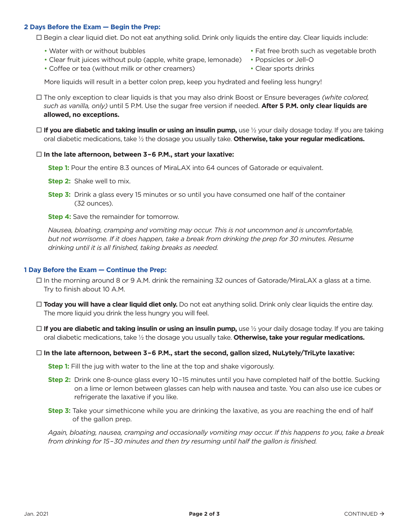### **2 Days Before the Exam — Begin the Prep:**

Begin a clear liquid diet. Do not eat anything solid. Drink only liquids the entire day. Clear liquids include:

- 
- Clear fruit juices without pulp (apple, white grape, lemonade) Popsicles or Jell-O
- Coffee or tea (without milk or other creamers) Clear sports drinks
- Water with or without bubbles The state of the broth such as vegetable broth
	-
	-

More liquids will result in a better colon prep, keep you hydrated and feeling less hungry!

- The only exception to clear liquids is that you may also drink Boost or Ensure beverages *(white colored, such as vanilla, only)* until 5 P.M. Use the sugar free version if needed. **After 5 P.M. only clear liquids are allowed, no exceptions.**
- **If you are diabetic and taking insulin or using an insulin pump,** use ½ your daily dosage today. If you are taking oral diabetic medications, take ½ the dosage you usually take. **Otherwise, take your regular medications.**

#### **In the late afternoon, between 3–6 P.M., start your laxative:**

**Step 1:** Pour the entire 8.3 ounces of MiraLAX into 64 ounces of Gatorade or equivalent.

- **Step 2:** Shake well to mix.
- **Step 3:** Drink a glass every 15 minutes or so until you have consumed one half of the container (32 ounces).
- **Step 4:** Save the remainder for tomorrow.

*Nausea, bloating, cramping and vomiting may occur. This is not uncommon and is uncomfortable, but not worrisome. If it does happen, take a break from drinking the prep for 30 minutes. Resume drinking until it is all finished, taking breaks as needed.*

# **1 Day Before the Exam — Continue the Prep:**

- $\Box$  In the morning around 8 or 9 A.M. drink the remaining 32 ounces of Gatorade/MiraLAX a glass at a time. Try to finish about 10 A.M.
- **Today you will have a clear liquid diet only.** Do not eat anything solid. Drink only clear liquids the entire day. The more liquid you drink the less hungry you will feel.
- **□ If you are diabetic and taking insulin or using an insulin pump,** use ½ your daily dosage today. If you are taking oral diabetic medications, take ½ the dosage you usually take. **Otherwise, take your regular medications.**

#### **In the late afternoon, between 3–6 P.M., start the second, gallon sized, NuLytely/TriLyte laxative:**

**Step 1:** Fill the jug with water to the line at the top and shake vigorously.

- **Step 2:** Drink one 8-ounce glass every 10–15 minutes until you have completed half of the bottle. Sucking on a lime or lemon between glasses can help with nausea and taste. You can also use ice cubes or refrigerate the laxative if you like.
- **Step 3:** Take your simethicone while you are drinking the laxative, as you are reaching the end of half of the gallon prep.

*Again, bloating, nausea, cramping and occasionally vomiting may occur. If this happens to you, take a break from drinking for 15–30 minutes and then try resuming until half the gallon is finished.*